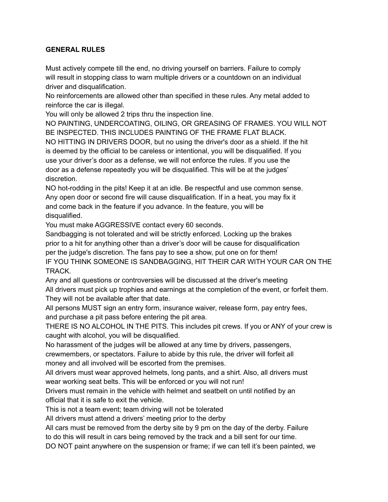## **GENERAL RULES**

Must actively compete till the end, no driving yourself on barriers. Failure to comply will result in stopping class to warn multiple drivers or a countdown on an individual driver and disqualification.

No reinforcements are allowed other than specified in these rules. Any metal added to reinforce the car is illegal.

You will only be allowed 2 trips thru the inspection line.

NO PAINTING, UNDERCOATING, OILING, OR GREASING OF FRAMES. YOU WILL NOT BE INSPECTED. THIS INCLUDES PAINTING OF THE FRAME FLAT BLACK. NO HITTING IN DRIVERS DOOR, but no using the driver's door as a shield. If the hit is deemed by the official to be careless or intentional, you will be disqualified. If you use your driver's door as a defense, we will not enforce the rules. If you use the door as a defense repeatedly you will be disqualified. This will be at the judges' discretion.

NO hot-rodding in the pits! Keep it at an idle. Be respectful and use common sense. Any open door or second fire will cause disqualification. If in a heat, you may fix it and come back in the feature if you advance. In the feature, you will be disqualified.

You must make AGGRESSIVE contact every 60 seconds.

Sandbagging is not tolerated and will be strictly enforced. Locking up the brakes prior to a hit for anything other than a driver's door will be cause for disqualification per the judge's discretion. The fans pay to see a show, put one on for them! IF YOU THINK SOMEONE IS SANDBAGGING, HIT THEIR CAR WITH YOUR CAR ON THE TRACK.

Any and all questions or controversies will be discussed at the driver's meeting All drivers must pick up trophies and earnings at the completion of the event, or forfeit them. They will not be available after that date.

All persons MUST sign an entry form, insurance waiver, release form, pay entry fees, and purchase a pit pass before entering the pit area.

THERE IS NO ALCOHOL IN THE PITS. This includes pit crews. If you or ANY of your crew is caught with alcohol, you will be disqualified.

No harassment of the judges will be allowed at any time by drivers, passengers, crewmembers, or spectators. Failure to abide by this rule, the driver will forfeit all

money and all involved will be escorted from the premises.

All drivers must wear approved helmets, long pants, and a shirt. Also, all drivers must wear working seat belts. This will be enforced or you will not run!

Drivers must remain in the vehicle with helmet and seatbelt on until notified by an official that it is safe to exit the vehicle.

This is not a team event; team driving will not be tolerated

All drivers must attend a drivers' meeting prior to the derby

All cars must be removed from the derby site by 9 pm on the day of the derby. Failure to do this will result in cars being removed by the track and a bill sent for our time.

DO NOT paint anywhere on the suspension or frame; if we can tell it's been painted, we